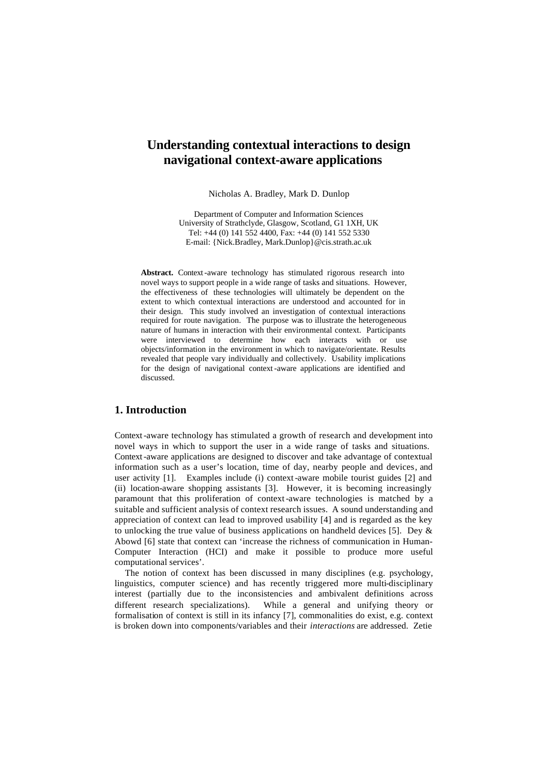# **Understanding contextual interactions to design navigational context-aware applications**

Nicholas A. Bradley, Mark D. Dunlop

Department of Computer and Information Sciences University of Strathclyde, Glasgow, Scotland, G1 1XH, UK Tel: +44 (0) 141 552 4400, Fax: +44 (0) 141 552 5330 E-mail: {Nick.Bradley, Mark.Dunlop}@cis.strath.ac.uk

Abstract. Context-aware technology has stimulated rigorous research into novel ways to support people in a wide range of tasks and situations. However, the effectiveness of these technologies will ultimately be dependent on the extent to which contextual interactions are understood and accounted for in their design. This study involved an investigation of contextual interactions required for route navigation. The purpose was to illustrate the heterogeneous nature of humans in interaction with their environmental context. Participants were interviewed to determine how each interacts with or use objects/information in the environment in which to navigate/orientate. Results revealed that people vary individually and collectively. Usability implications for the design of navigational context-aware applications are identified and discussed.

## **1. Introduction**

Context-aware technology has stimulated a growth of research and development into novel ways in which to support the user in a wide range of tasks and situations. Context-aware applications are designed to discover and take advantage of contextual information such as a user's location, time of day, nearby people and devices, and user activity [1]. Examples include (i) context-aware mobile tourist guides [2] and (ii) location-aware shopping assistants [3]. However, it is becoming increasingly paramount that this proliferation of context-aware technologies is matched by a suitable and sufficient analysis of context research issues. A sound understanding and appreciation of context can lead to improved usability [4] and is regarded as the key to unlocking the true value of business applications on handheld devices [5]. Dey  $\&$ Abowd [6] state that context can 'increase the richness of communication in Human-Computer Interaction (HCI) and make it possible to produce more useful computational services'.

The notion of context has been discussed in many disciplines (e.g. psychology, linguistics, computer science) and has recently triggered more multi-disciplinary interest (partially due to the inconsistencies and ambivalent definitions across different research specializations). While a general and unifying theory or formalisation of context is still in its infancy [7], commonalities do exist, e.g. context is broken down into components/variables and their *interactions* are addressed. Zetie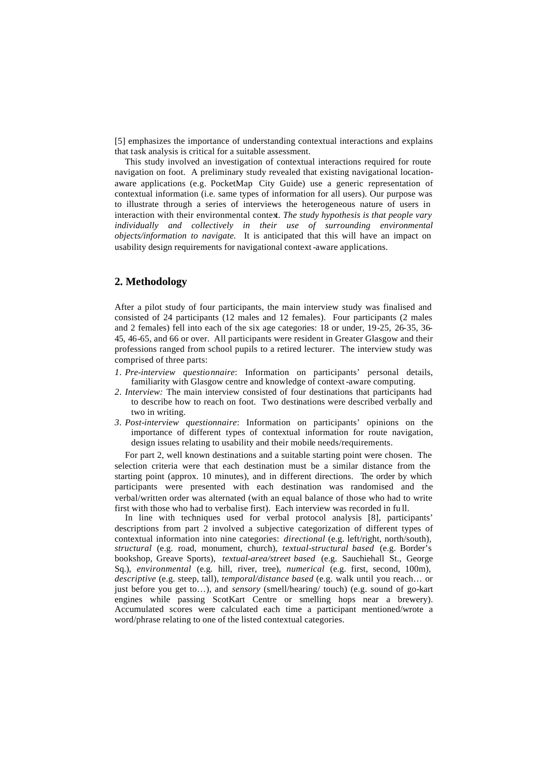[5] emphasizes the importance of understanding contextual interactions and explains that task analysis is critical for a suitable assessment.

This study involved an investigation of contextual interactions required for route navigation on foot. A preliminary study revealed that existing navigational locationaware applications (e.g. PocketMap City Guide) use a generic representation of contextual information (i.e. same types of information for all users). Our purpose was to illustrate through a series of interviews the heterogeneous nature of users in interaction with their environmental context. The study hypothesis is that people vary *individually and collectively in their use of surrounding environmental objects/information to navigate.* It is anticipated that this will have an impact on usability design requirements for navigational context-aware applications.

### **2. Methodology**

After a pilot study of four participants, the main interview study was finalised and consisted of 24 participants (12 males and 12 females). Four participants (2 males and 2 females) fell into each of the six age categories: 18 or under, 19-25, 26-35, 36- 45, 46-65, and 66 or over. All participants were resident in Greater Glasgow and their professions ranged from school pupils to a retired lecturer. The interview study was comprised of three parts:

- *1. Pre-interview questionnaire*: Information on participants' personal details, familiarity with Glasgow centre and knowledge of context-aware computing.
- *2. Interview:* The main interview consisted of four destinations that participants had to describe how to reach on foot. Two destinations were described verbally and two in writing.
- *3. Post-interview questionnaire*: Information on participants' opinions on the importance of different types of contextual information for route navigation, design issues relating to usability and their mobile needs/requirements.

For part 2, well known destinations and a suitable starting point were chosen. The selection criteria were that each destination must be a similar distance from the starting point (approx. 10 minutes), and in different directions. The order by which participants were presented with each destination was randomised and the verbal/written order was alternated (with an equal balance of those who had to write first with those who had to verbalise first). Each interview was recorded in fu ll.

In line with techniques used for verbal protocol analysis [8], participants' descriptions from part 2 involved a subjective categorization of different types of contextual information into nine categories: *directional* (e.g. left/right, north/south), *structural* (e.g. road, monument, church), *textual-structural based* (e.g. Border's bookshop, Greave Sports), *textual-area/street based* (e.g. Sauchiehall St., George Sq.), *environmental* (e.g. hill, river, tree), *numerical* (e.g. first, second, 100m), *descriptive* (e.g. steep, tall), *temporal/distance based* (e.g. walk until you reach… or just before you get to…), and *sensory* (smell/hearing/ touch) (e.g. sound of go-kart engines while passing ScotKart Centre or smelling hops near a brewery). Accumulated scores were calculated each time a participant mentioned/wrote a word/phrase relating to one of the listed contextual categories.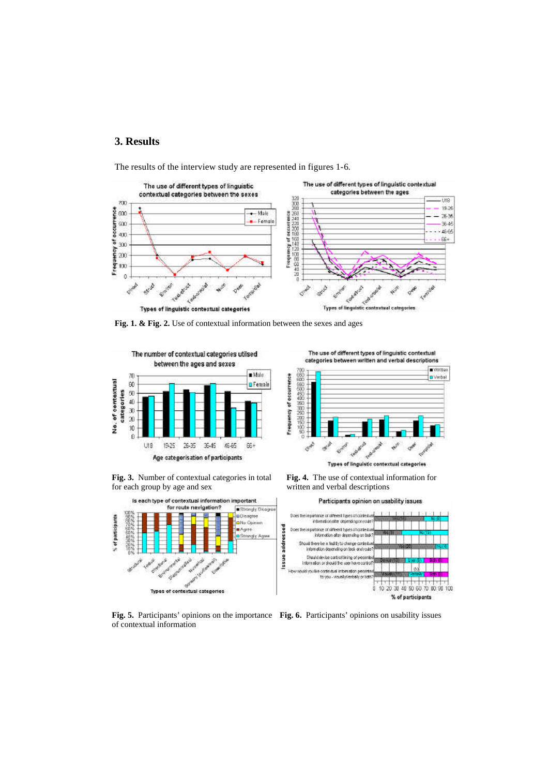# **3. Results**

The results of the interview study are represented in figures 1-6.



**Fig. 1. & Fig. 2.** Use of contextual information between the sexes and ages





**Fig. 3.** Number of contextual categories in total for each group by age and sex



**Fig. 4.** The use of contextual information for written and verbal descriptions



**Fig. 5.** Participants' opinions on the importance **Fig. 6.** Participants' opinions on usability issuesof contextual information

The use of different types of linguistic contextual categories between written and verbal descriptions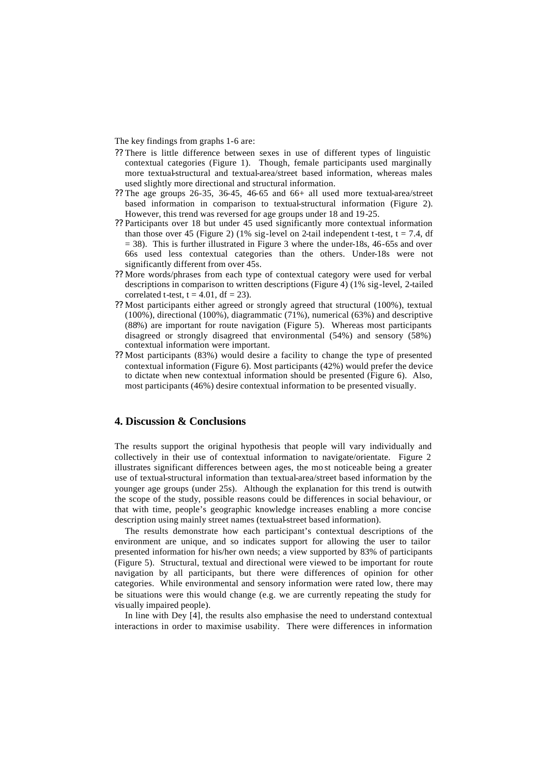The key findings from graphs 1-6 are:

- ?? There is little difference between sexes in use of different types of linguistic contextual categories (Figure 1). Though, female participants used marginally more textual-structural and textual-area/street based information, whereas males used slightly more directional and structural information.
- ?? The age groups 26-35, 36-45, 46-65 and 66+ all used more textual-area/street based information in comparison to textual-structural information (Figure 2). However, this trend was reversed for age groups under 18 and 19-25.
- ?? Participants over 18 but under 45 used significantly more contextual information than those over 45 (Figure 2) (1% sig-level on 2-tail independent t-test,  $t = 7.4$ , df  $= 38$ ). This is further illustrated in Figure 3 where the under-18s, 46-65s and over 66s used less contextual categories than the others. Under-18s were not significantly different from over 45s.
- ?? More words/phrases from each type of contextual category were used for verbal descriptions in comparison to written descriptions (Figure 4) (1% sig-level, 2-tailed correlated t-test,  $t = 4.01$ ,  $df = 23$ ).
- ?? Most participants either agreed or strongly agreed that structural (100%), textual (100%), directional (100%), diagrammatic (71%), numerical (63%) and descriptive (88%) are important for route navigation (Figure 5). Whereas most participants disagreed or strongly disagreed that environmental (54%) and sensory (58%) contextual information were important.
- ?? Most participants (83%) would desire a facility to change the type of presented contextual information (Figure 6). Most participants (42%) would prefer the device to dictate when new contextual information should be presented (Figure 6). Also, most participants (46%) desire contextual information to be presented visually.

## **4. Discussion & Conclusions**

The results support the original hypothesis that people will vary individually and collectively in their use of contextual information to navigate/orientate. Figure 2 illustrates significant differences between ages, the mo st noticeable being a greater use of textual-structural information than textual-area/street based information by the younger age groups (under 25s). Although the explanation for this trend is outwith the scope of the study, possible reasons could be differences in social behaviour, or that with time, people's geographic knowledge increases enabling a more concise description using mainly street names (textual-street based information).

The results demonstrate how each participant's contextual descriptions of the environment are unique, and so indicates support for allowing the user to tailor presented information for his/her own needs; a view supported by 83% of participants (Figure 5). Structural, textual and directional were viewed to be important for route navigation by all participants, but there were differences of opinion for other categories. While environmental and sensory information were rated low, there may be situations were this would change (e.g. we are currently repeating the study for visually impaired people).

In line with Dey [4], the results also emphasise the need to understand contextual interactions in order to maximise usability. There were differences in information